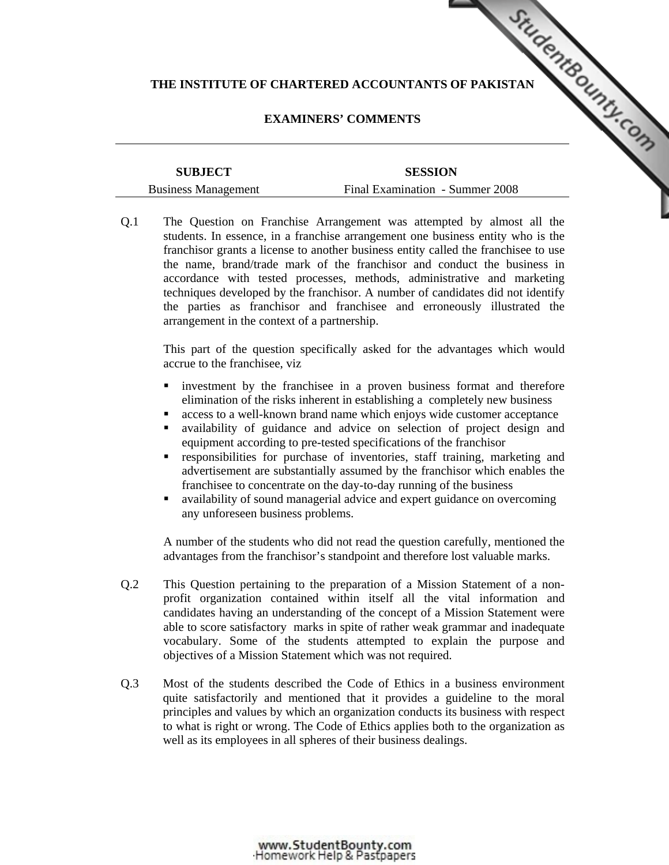## **EXAMINERS' COMMENTS**

| THE INSTITUTE OF CHARTERED ACCOUNTANTS OF PAKISTAN |                                 |  |
|----------------------------------------------------|---------------------------------|--|
|                                                    |                                 |  |
|                                                    | <b>EXAMINERS' COMMENTS</b>      |  |
|                                                    |                                 |  |
| <b>SUBJECT</b>                                     | <b>SESSION</b>                  |  |
| <b>Business Management</b>                         | Final Examination - Summer 2008 |  |

Q.1 The Question on Franchise Arrangement was attempted by almost all the students. In essence, in a franchise arrangement one business entity who is the franchisor grants a license to another business entity called the franchisee to use the name, brand/trade mark of the franchisor and conduct the business in accordance with tested processes, methods, administrative and marketing techniques developed by the franchisor. A number of candidates did not identify the parties as franchisor and franchisee and erroneously illustrated the arrangement in the context of a partnership.

This part of the question specifically asked for the advantages which would accrue to the franchisee, viz

- investment by the franchisee in a proven business format and therefore elimination of the risks inherent in establishing a completely new business
- access to a well-known brand name which enjoys wide customer acceptance
- availability of guidance and advice on selection of project design and equipment according to pre-tested specifications of the franchisor
- responsibilities for purchase of inventories, staff training, marketing and advertisement are substantially assumed by the franchisor which enables the franchisee to concentrate on the day-to-day running of the business
- availability of sound managerial advice and expert guidance on overcoming any unforeseen business problems.

A number of the students who did not read the question carefully, mentioned the advantages from the franchisor's standpoint and therefore lost valuable marks.

- Q.2 This Question pertaining to the preparation of a Mission Statement of a nonprofit organization contained within itself all the vital information and candidates having an understanding of the concept of a Mission Statement were able to score satisfactory marks in spite of rather weak grammar and inadequate vocabulary. Some of the students attempted to explain the purpose and objectives of a Mission Statement which was not required.
- Q.3 Most of the students described the Code of Ethics in a business environment quite satisfactorily and mentioned that it provides a guideline to the moral principles and values by which an organization conducts its business with respect to what is right or wrong. The Code of Ethics applies both to the organization as well as its employees in all spheres of their business dealings.

www.StudentBounty.com<br>Homework Help & Pastpapers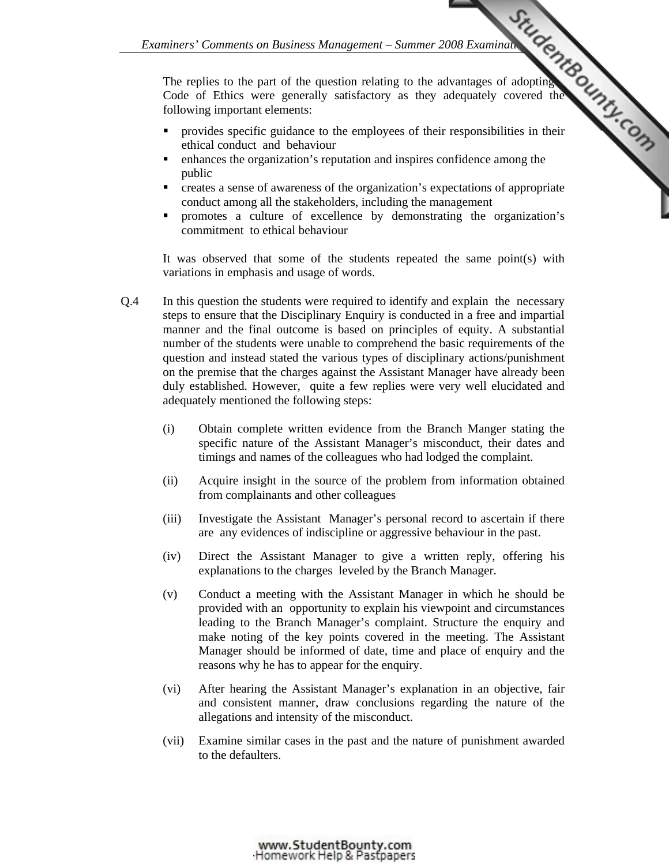*Examiners' Comments on Business Management – Summer 2008 Examination Control of the question relating to the advantages of adopting the strategy covered the summarized the commission of the commission of the commission of* The replies to the part of the question relating to the advantages of adopting Code of Ethics were generally satisfactory as they adequately covered the following important elements:

- provides specific guidance to the employees of their [responsibilities in their](http://www.studentbounty.com/)  ethical conduct and behaviour
- enhances the organization's reputation and inspires confidence among the public
- creates a sense of awareness of the organization's expectations of appropriate conduct among all the stakeholders, including the management
- promotes a culture of excellence by demonstrating the organization's commitment to ethical behaviour

It was observed that some of the students repeated the same point(s) with variations in emphasis and usage of words.

- Q.4 In this question the students were required to identify and explain the necessary steps to ensure that the Disciplinary Enquiry is conducted in a free and impartial manner and the final outcome is based on principles of equity. A substantial number of the students were unable to comprehend the basic requirements of the question and instead stated the various types of disciplinary actions/punishment on the premise that the charges against the Assistant Manager have already been duly established. However, quite a few replies were very well elucidated and adequately mentioned the following steps:
	- (i) Obtain complete written evidence from the Branch Manger stating the specific nature of the Assistant Manager's misconduct, their dates and timings and names of the colleagues who had lodged the complaint.
	- (ii) Acquire insight in the source of the problem from information obtained from complainants and other colleagues
	- (iii) Investigate the Assistant Manager's personal record to ascertain if there are any evidences of indiscipline or aggressive behaviour in the past.
	- (iv) Direct the Assistant Manager to give a written reply, offering his explanations to the charges leveled by the Branch Manager.
	- (v) Conduct a meeting with the Assistant Manager in which he should be provided with an opportunity to explain his viewpoint and circumstances leading to the Branch Manager's complaint. Structure the enquiry and make noting of the key points covered in the meeting. The Assistant Manager should be informed of date, time and place of enquiry and the reasons why he has to appear for the enquiry.
	- (vi) After hearing the Assistant Manager's explanation in an objective, fair and consistent manner, draw conclusions regarding the nature of the allegations and intensity of the misconduct.
	- (vii) Examine similar cases in the past and the nature of punishment awarded to the defaulters.

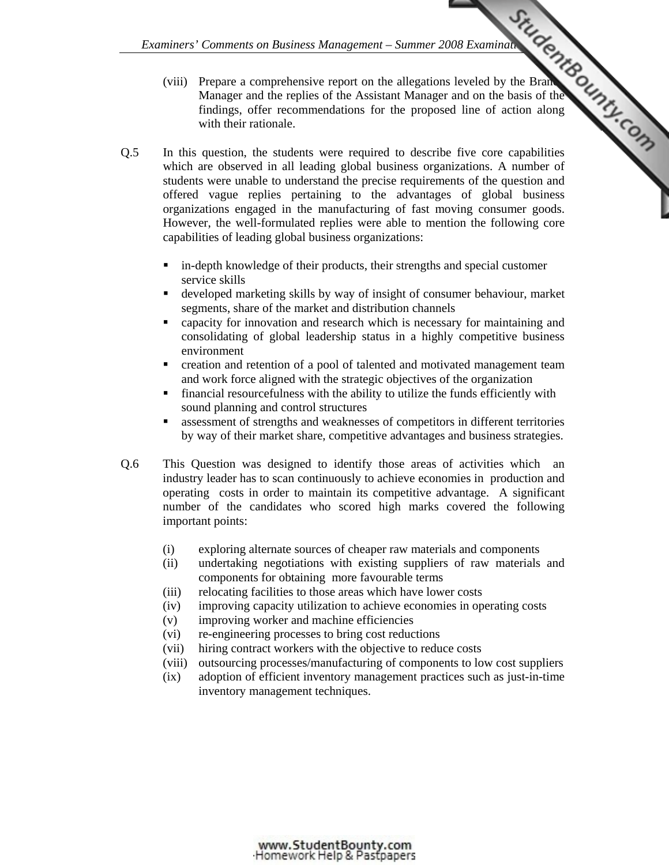- *Examiners' Comments on Business Management Summer 2008 Examination Control of the Strategy of the Strategy of the Assistant Manager and on the basis of the control of the proposed line of action along control of the pro* (viii) Prepare a comprehensive report on the allegations leveled by the Branch Manager and the replies of the Assistant Manager and on the basis of the findings, offer recommendations for the proposed line of action along with their rationale.
- Q.5 In this question, the students were required to describe five core capabilities which are observed in all leading global business organizations. A number of students were unable to understand the precise requirements of the question and offered vague replies pertaining to the advantages of global business organizations engaged in the manufacturing of fast m[oving consumer goods.](http://www.studentbounty.com/)  However, the well-formulated replies were able to mention the following core capabilities of leading global business organizations:
	- in-depth knowledge of their products, their strengths and special customer service skills
	- developed marketing skills by way of insight of consumer behaviour, market segments, share of the market and distribution channels
	- capacity for innovation and research which is necessary for maintaining and consolidating of global leadership status in a highly competitive business environment
	- creation and retention of a pool of talented and motivated management team and work force aligned with the strategic objectives of the organization
	- financial resourcefulness with the ability to utilize the funds efficiently with sound planning and control structures
	- assessment of strengths and weaknesses of competitors in different territories by way of their market share, competitive advantages and business strategies.
- Q.6 This Question was designed to identify those areas of activities which an industry leader has to scan continuously to achieve economies in production and operating costs in order to maintain its competitive advantage. A significant number of the candidates who scored high marks covered the following important points:
	- (i) exploring alternate sources of cheaper raw materials and components
	- (ii) undertaking negotiations with existing suppliers of raw materials and components for obtaining more favourable terms
	- (iii) relocating facilities to those areas which have lower costs
	- (iv) improving capacity utilization to achieve economies in operating costs
	- (v) improving worker and machine efficiencies
	- (vi) re-engineering processes to bring cost reductions
	- (vii) hiring contract workers with the objective to reduce costs
	- (viii) outsourcing processes/manufacturing of components to low cost suppliers
	- (ix) adoption of efficient inventory management practices such as just-in-time inventory management techniques.

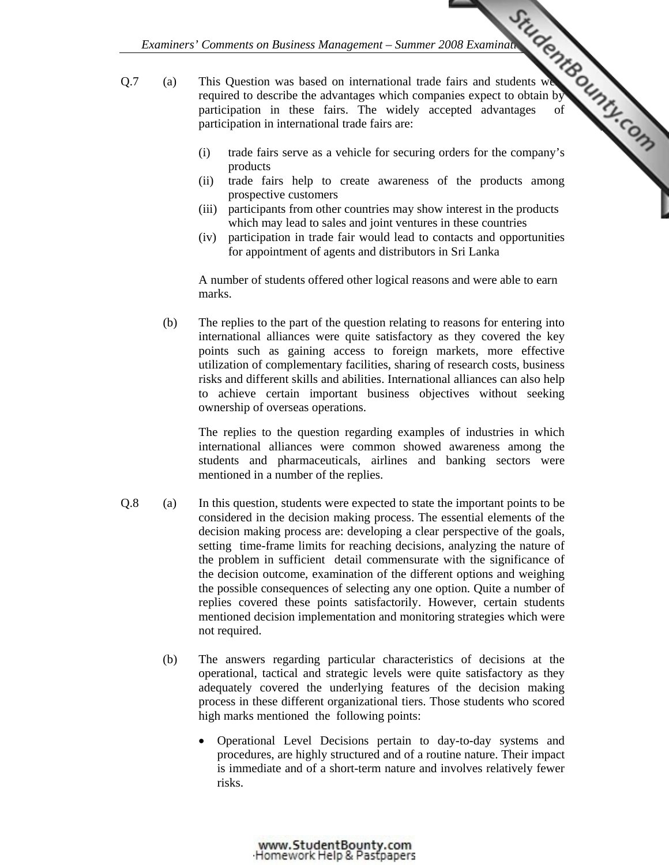- *Examiners' Comments on Business Management Summer 2008 Examination Compares*<br>
The property widely accepted advantages of widely accepted advantages of Q.7 (a) This Question was based on international trade fairs and students we required to describe the advantages which companies expect to obtain by participation in these fairs. The widely accepted advantages participation in international trade fairs are:
	- (i) trade fairs serve as a vehicle for securing orders for the company's products
	- (ii) trade fairs help to create awareness of the products among prospective customers
	- (iii) participants from other countries may show interest in the products which may lead to sales and joint ventures in these countries
	- (iv) participation in trade fair would lead to contacts and opportunities for appointment of agents and distributors in Sri Lanka

 A number of students offered other logical reasons and were able to earn marks.

 (b) The replies to the part of the question relating to reasons for entering into international alliances were quite satisfactory as they covered the key points such as gaining access to foreign markets, more effective utilization of complementary facilities, sharing of research costs, business risks and different skills and abilities. International alliances can also help to achieve certain important business objectives without seeking ownership of overseas operations.

The replies to the question regarding examples of industries in which international alliances were common showed awareness among the students and pharmaceuticals, airlines and banking sectors were mentioned in a number of the replies.

- Q.8 (a) In this question, students were expected to state the important points to be considered in the decision making process. The essential elements of the decision making process are: developing a clear perspective of the goals, setting time-frame limits for reaching decisions, analyzing the nature of the problem in sufficient detail commensurate with the significance of the decision outcome, examination of the different options and weighing the possible consequences of selecting any one option. Quite a number of replies covered these points satisfactorily. However, certain students mentioned decision implementation and monitoring strategies which were not required.
	- (b) The answers regarding particular characteristics of decisions at the operational, tactical and strategic levels were quite satisfactory as they adequately covered the underlying features of the decision making process in these different organizational tiers. Those students who scored high marks mentioned the following points:
		- Operational Level Decisions pertain to day-to-day systems and procedures, are highly structured and of a routine nature. Their impact is immediate and of a short-term nature and involves relatively fewer risks.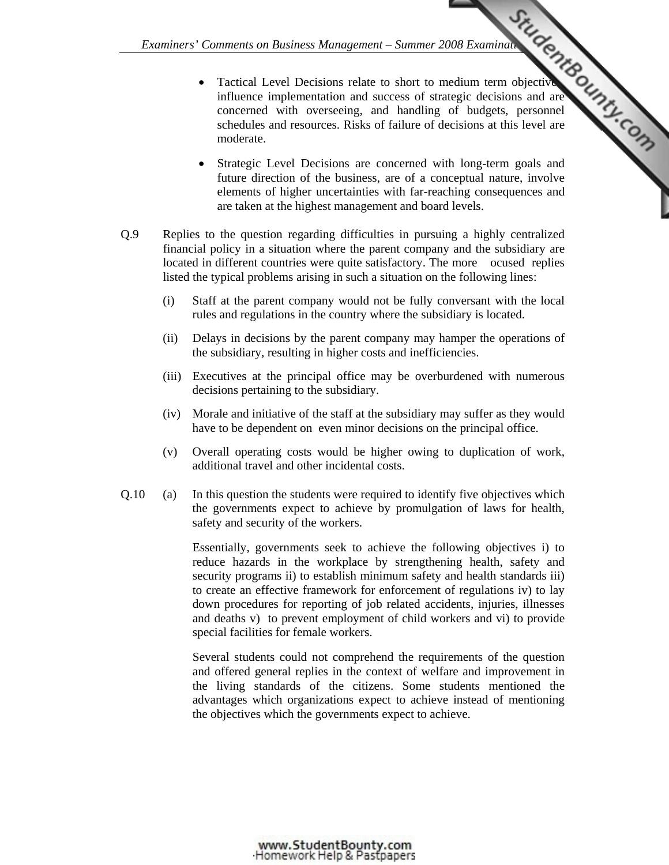- *Examiners' Comments on Business Management Summer 2008 Examination Condition and success of strategic decisions and are and are trivial in and success of strategic decisions and are and are and are transmission of handl* • Tactical Level Decisions relate to short to medium term objective influence implementation and success of strategic decisions and are concerned with overseeing, and handling of budgets, personnel schedules and resources. Risks of failure of d[ecisions at this level are](http://www.studentbounty.com/)  moderate.
	- Strategic Level Decisions are concerned with long-term goals and future direction of the business, are of a conceptual nature, involve elements of higher uncertainties with far-reaching consequences and are taken at the highest management and board levels.
- Q.9 Replies to the question regarding difficulties in pursuing a highly centralized financial policy in a situation where the parent company and the subsidiary are located in different countries were quite satisfactory. The more ocused replies listed the typical problems arising in such a situation on the following lines:
	- (i) Staff at the parent company would not be fully conversant with the local rules and regulations in the country where the subsidiary is located.
	- (ii) Delays in decisions by the parent company may hamper the operations of the subsidiary, resulting in higher costs and inefficiencies.
	- (iii) Executives at the principal office may be overburdened with numerous decisions pertaining to the subsidiary.
	- (iv) Morale and initiative of the staff at the subsidiary may suffer as they would have to be dependent on even minor decisions on the principal office.
	- (v) Overall operating costs would be higher owing to duplication of work, additional travel and other incidental costs.
- Q.10 (a) In this question the students were required to identify five objectives which the governments expect to achieve by promulgation of laws for health, safety and security of the workers.

Essentially, governments seek to achieve the following objectives i) to reduce hazards in the workplace by strengthening health, safety and security programs ii) to establish minimum safety and health standards iii) to create an effective framework for enforcement of regulations iv) to lay down procedures for reporting of job related accidents, injuries, illnesses and deaths v) to prevent employment of child workers and vi) to provide special facilities for female workers.

Several students could not comprehend the requirements of the question and offered general replies in the context of welfare and improvement in the living standards of the citizens. Some students mentioned the advantages which organizations expect to achieve instead of mentioning the objectives which the governments expect to achieve.